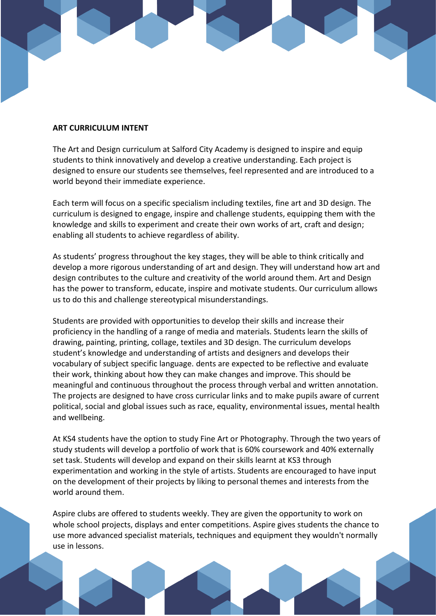## **ART CURRICULUM INTENT**

The Art and Design curriculum at Salford City Academy is designed to inspire and equip students to think innovatively and develop a creative understanding. Each project is designed to ensure our students see themselves, feel represented and are introduced to a world beyond their immediate experience.

Each term will focus on a specific specialism including textiles, fine art and 3D design. The curriculum is designed to engage, inspire and challenge students, equipping them with the knowledge and skills to experiment and create their own works of art, craft and design; enabling all students to achieve regardless of ability.

As students' progress throughout the key stages, they will be able to think critically and develop a more rigorous understanding of art and design. They will understand how art and design contributes to the culture and creativity of the world around them. Art and Design has the power to transform, educate, inspire and motivate students. Our curriculum allows us to do this and challenge stereotypical misunderstandings.

Students are provided with opportunities to develop their skills and increase their proficiency in the handling of a range of media and materials. Students learn the skills of drawing, painting, printing, collage, textiles and 3D design. The curriculum develops student's knowledge and understanding of artists and designers and develops their vocabulary of subject specific language. dents are expected to be reflective and evaluate their work, thinking about how they can make changes and improve. This should be meaningful and continuous throughout the process through verbal and written annotation. The projects are designed to have cross curricular links and to make pupils aware of current political, social and global issues such as race, equality, environmental issues, mental health and wellbeing.

At KS4 students have the option to study Fine Art or Photography. Through the two years of study students will develop a portfolio of work that is 60% coursework and 40% externally set task. Students will develop and expand on their skills learnt at KS3 through experimentation and working in the style of artists. Students are encouraged to have input on the development of their projects by liking to personal themes and interests from the world around them.

Aspire clubs are offered to students weekly. They are given the opportunity to work on whole school projects, displays and enter competitions. Aspire gives students the chance to use more advanced specialist materials, techniques and equipment they wouldn't normally use in lessons.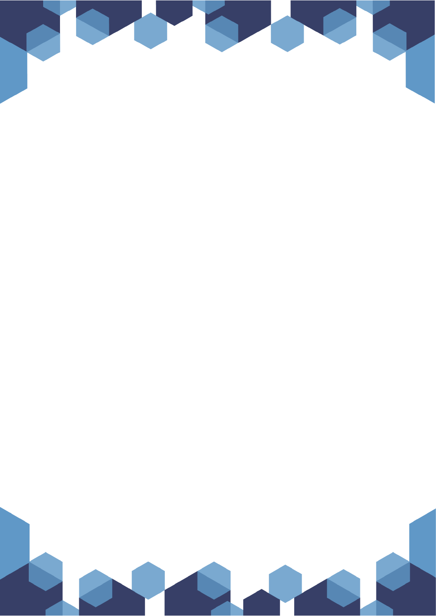